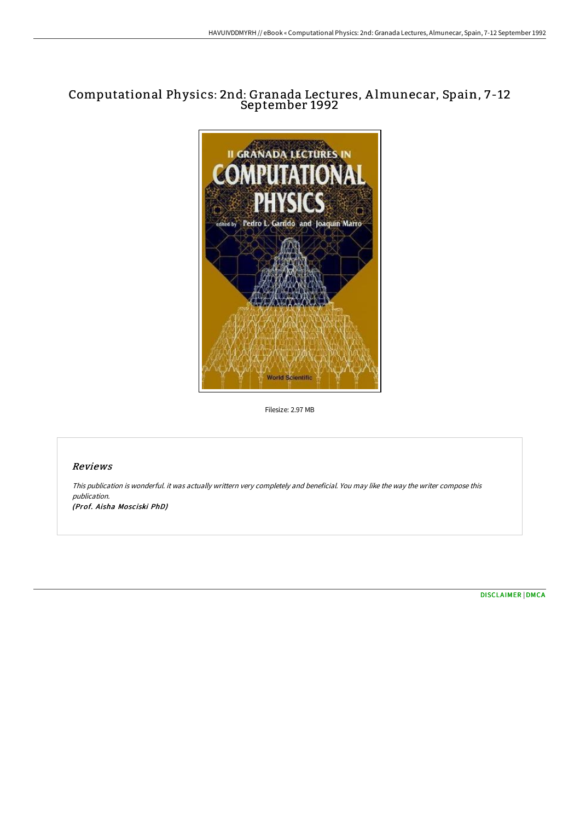## Computational Physics: 2nd: Granada Lectures, A lmunecar, Spain, 7-12 September 1992



Filesize: 2.97 MB

## Reviews

This publication is wonderful. it was actually writtern very completely and beneficial. You may like the way the writer compose this publication. (Prof. Aisha Mosciski PhD)

[DISCLAIMER](http://digilib.live/disclaimer.html) | [DMCA](http://digilib.live/dmca.html)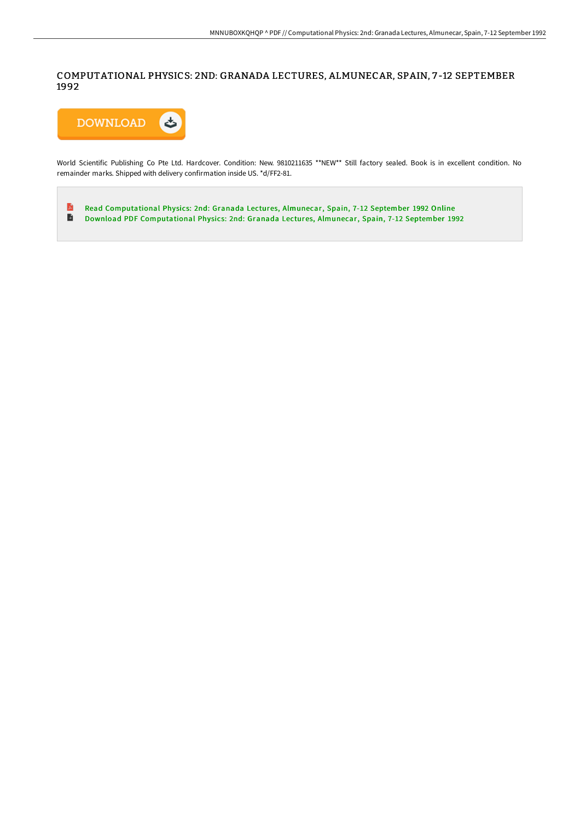COMPUTATIONAL PHYSICS: 2ND: GRANADA LECTURES, ALMUNECAR, SPAIN, 7 -12 SEPTEMBER 1992



World Scientific Publishing Co Pte Ltd. Hardcover. Condition: New. 9810211635 \*\*NEW\*\* Still factory sealed. Book is in excellent condition. No remainder marks. Shipped with delivery confirmation inside US. \*d/FF2-81.

 $\mathbf{r}$ Read [Computational](http://digilib.live/computational-physics-2nd-granada-lectures-almun.html) Physics: 2nd: Granada Lectures, Almunecar, Spain, 7-12 September 1992 Online  $\blacksquare$ Download PDF [Computational](http://digilib.live/computational-physics-2nd-granada-lectures-almun.html) Physics: 2nd: Granada Lectures, Almunecar, Spain, 7-12 September 1992